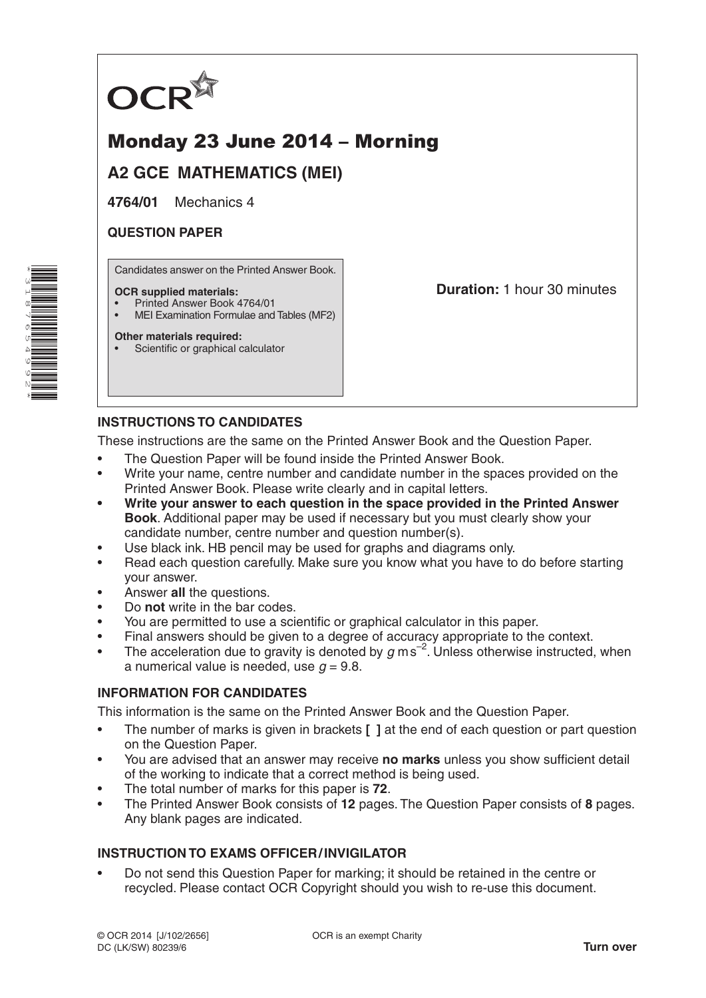

# Monday 23 June 2014 – Morning

**A2 GCE MATHEMATICS (MEI)**

**4764/01** Mechanics 4

## **QUESTION PAPER**

Candidates answer on the Printed Answer Book.

#### **OCR supplied materials:**

- Printed Answer Book 4764/01
- MEI Examination Formulae and Tables (MF2)

### **Other materials required:**

Scientific or graphical calculator

**Duration:** 1 hour 30 minutes

## **INSTRUCTIONS TO CANDIDATES**

These instructions are the same on the Printed Answer Book and the Question Paper.

- The Question Paper will be found inside the Printed Answer Book.
- Write your name, centre number and candidate number in the spaces provided on the Printed Answer Book. Please write clearly and in capital letters.
- **• Write your answer to each question in the space provided in the Printed Answer Book**. Additional paper may be used if necessary but you must clearly show your candidate number, centre number and question number(s).
- Use black ink. HB pencil may be used for graphs and diagrams only.
- Read each question carefully. Make sure you know what you have to do before starting your answer.
- Answer **all** the questions.
- Do **not** write in the bar codes.
- You are permitted to use a scientific or graphical calculator in this paper.
- Final answers should be given to a degree of accuracy appropriate to the context.
- The acceleration due to gravity is denoted by  $g$  ms<sup>-2</sup>. Unless otherwise instructed, when a numerical value is needed, use  $q = 9.8$ .

## **INFORMATION FOR CANDIDATES**

This information is the same on the Printed Answer Book and the Question Paper.

- The number of marks is given in brackets **[ ]** at the end of each question or part question on the Question Paper.
- You are advised that an answer may receive **no marks** unless you show sufficient detail of the working to indicate that a correct method is being used.
- The total number of marks for this paper is **72**.
- The Printed Answer Book consists of **12** pages. The Question Paper consists of **8** pages. Any blank pages are indicated.

## **INSTRUCTION TO EXAMS OFFICER/INVIGILATOR**

• Do not send this Question Paper for marking; it should be retained in the centre or recycled. Please contact OCR Copyright should you wish to re-use this document.

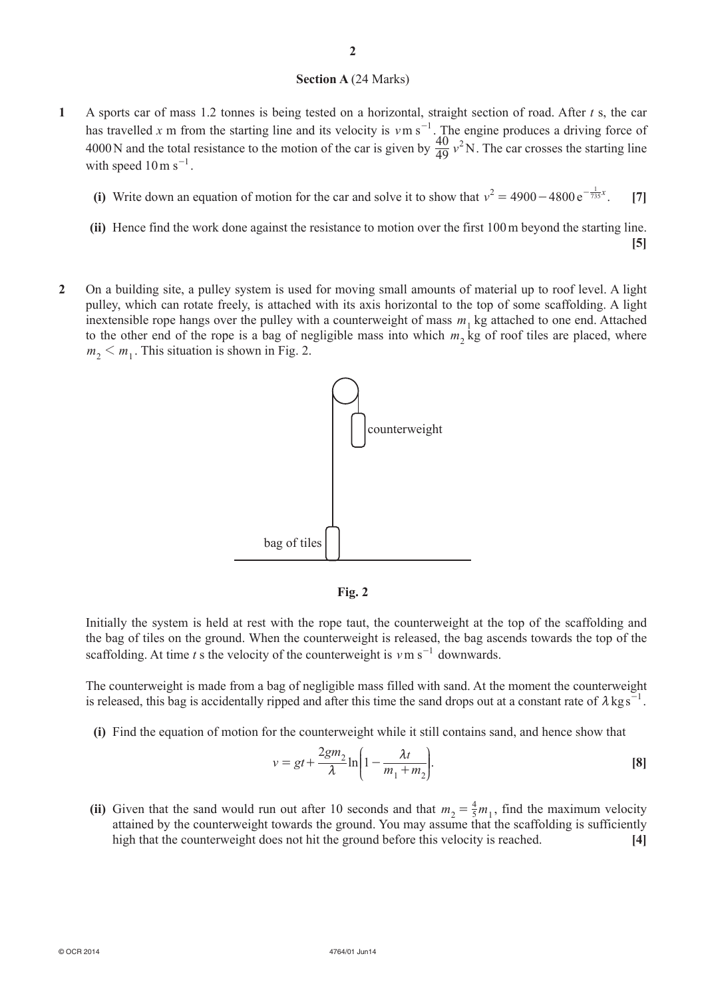#### **Section A** (24 Marks)

- **1** A sports car of mass 1.2 tonnes is being tested on a horizontal, straight section of road. After *t* s, the car has travelled x m from the starting line and its velocity is  $v \text{m s}^{-1}$ . The engine produces a driving force of 4000 N and the total resistance to the motion of the car is given by  $\frac{40}{49}v^2N$ . The car crosses the starting line with speed  $10 \text{ m s}^{-1}$ .
	- (i) Write down an equation of motion for the car and solve it to show that  $v^2 = 4900 4800 e^{-\frac{1}{735}x}$ . [7]
	- **(ii)** Hence find the work done against the resistance to motion over the first 100m beyond the starting line.

**[5]**

**2** On a building site, a pulley system is used for moving small amounts of material up to roof level. A light pulley, which can rotate freely, is attached with its axis horizontal to the top of some scaffolding. A light inextensible rope hangs over the pulley with a counterweight of mass  $m_1$  kg attached to one end. Attached to the other end of the rope is a bag of negligible mass into which  $m_2$  kg of roof tiles are placed, where  $m_2 < m_1$ . This situation is shown in Fig. 2.



**Fig. 2**

Initially the system is held at rest with the rope taut, the counterweight at the top of the scaffolding and the bag of tiles on the ground. When the counterweight is released, the bag ascends towards the top of the scaffolding. At time *t* s the velocity of the counterweight is  $v \text{ m s}^{-1}$  downwards.

The counterweight is made from a bag of negligible mass filled with sand. At the moment the counterweight is released, this bag is accidentally ripped and after this time the sand drops out at a constant rate of  $\lambda$ kgs<sup>-1</sup>.

**(i)** Find the equation of motion for the counterweight while it still contains sand, and hence show that

$$
v = gt + \frac{2gm_2}{\lambda} \ln \left( 1 - \frac{\lambda t}{m_1 + m_2} \right).
$$
 [8]

(ii) Given that the sand would run out after 10 seconds and that  $m_2 = \frac{4}{5}m_1$ , find the maximum velocity attained by the counterweight towards the ground. You may assume that the scaffolding is sufficiently high that the counterweight does not hit the ground before this velocity is reached. **[4]**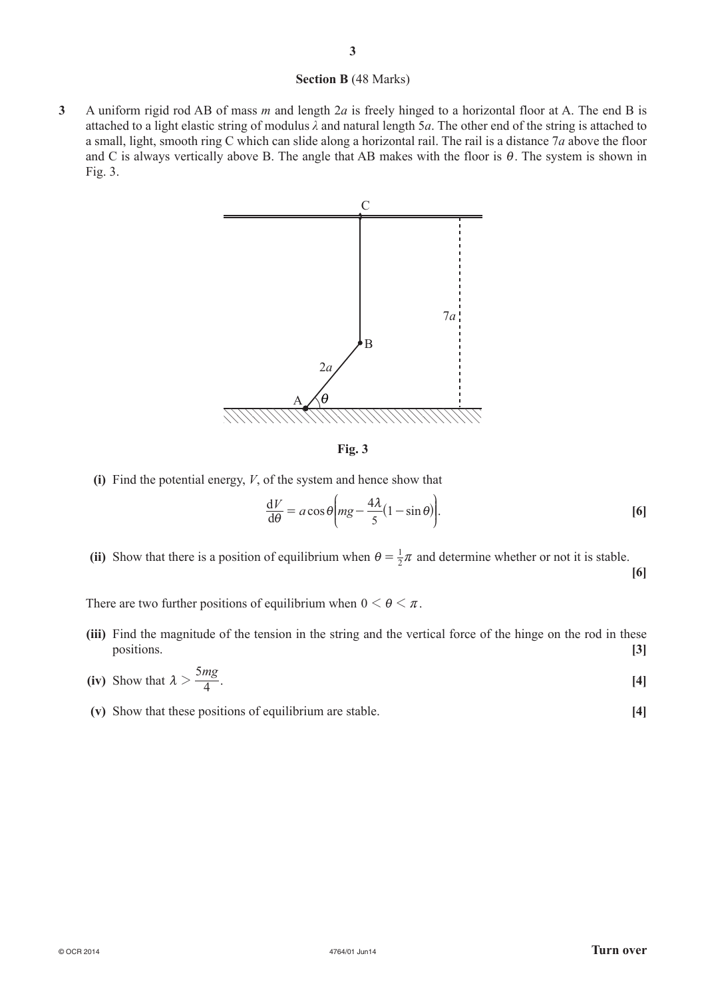#### **Section B** (48 Marks)

**3** A uniform rigid rod AB of mass *m* and length 2*a* is freely hinged to a horizontal floor at A. The end B is attached to a light elastic string of modulus *λ* and natural length 5*a*. The other end of the string is attached to a small, light, smooth ring C which can slide along a horizontal rail. The rail is a distance 7*a* above the floor and C is always vertically above B. The angle that AB makes with the floor is  $\theta$ . The system is shown in Fig. 3.



**Fig. 3**

**(i)** Find the potential energy, *V*, of the system and hence show that

$$
\frac{dV}{d\theta} = a\cos\theta \bigg( mg - \frac{4\lambda}{5} (1 - \sin\theta) \bigg). \tag{6}
$$

(ii) Show that there is a position of equilibrium when  $\theta = \frac{1}{2}\pi$  and determine whether or not it is stable. **[6]**

There are two further positions of equilibrium when  $0 \le \theta \le \pi$ .

- **(iii)** Find the magnitude of the tension in the string and the vertical force of the hinge on the rod in these positions. **[3]**
- (iv) Show that  $\lambda > \frac{5mg}{4}$ . [4]
- **(v)** Show that these positions of equilibrium are stable. **[4]**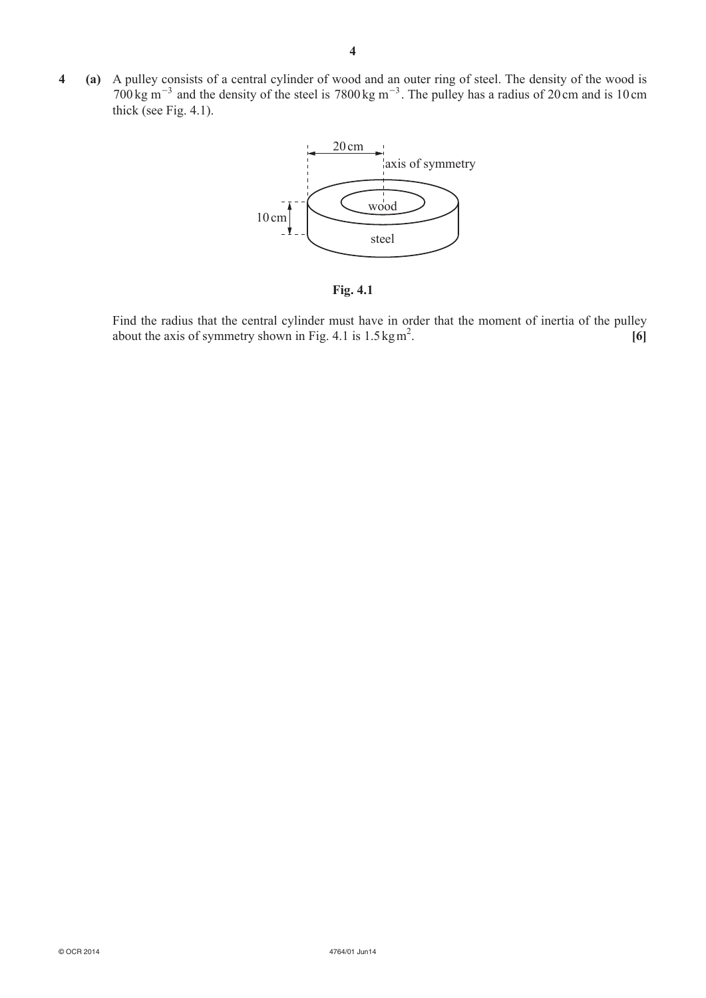**4 (a)** A pulley consists of a central cylinder of wood and an outer ring of steel. The density of the wood is  $700 \text{ kg m}^{-3}$  and the density of the steel is 7800 kg m<sup>-3</sup>. The pulley has a radius of 20 cm and is 10 cm thick (see Fig. 4.1).



**Fig. 4.1**

Find the radius that the central cylinder must have in order that the moment of inertia of the pulley about the axis of symmetry shown in Fig. 4.1 is  $1.5 \text{ kg m}^2$ . **[6]**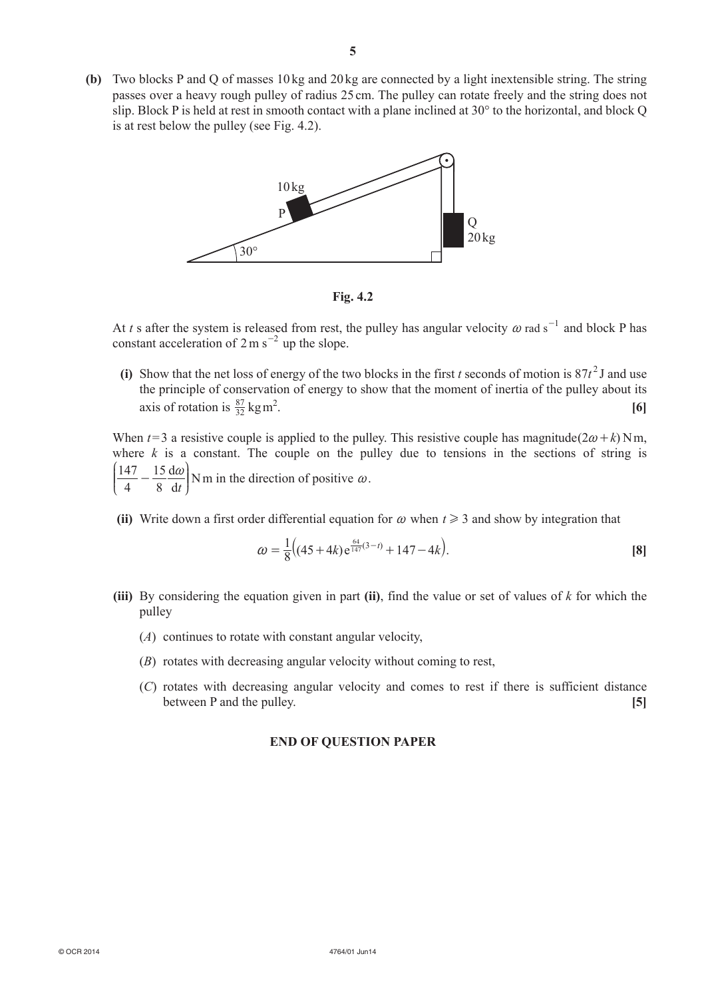**(b)** Two blocks P and Q of masses 10 kg and 20kg are connected by a light inextensible string. The string passes over a heavy rough pulley of radius 25cm. The pulley can rotate freely and the string does not slip. Block P is held at rest in smooth contact with a plane inclined at 30° to the horizontal, and block Q is at rest below the pulley (see Fig. 4.2).



**Fig. 4.2**

At *t* s after the system is released from rest, the pulley has angular velocity  $\omega$  rad s<sup>-1</sup> and block P has constant acceleration of  $2 \text{ m s}^{-2}$  up the slope.

**(i)** Show that the net loss of energy of the two blocks in the first *t* seconds of motion is  $87t<sup>2</sup>$  J and use the principle of conservation of energy to show that the moment of inertia of the pulley about its axis of rotation is  $\frac{87}{32}$  kg m<sup>2</sup> . **[6]**

When  $t=3$  a resistive couple is applied to the pulley. This resistive couple has magnitude( $2\omega + k$ ) Nm, where  $k$  is a constant. The couple on the pulley due to tensions in the sections of string is  $\frac{117}{4} - \frac{15}{8}$  dt 147 15  $-\frac{15}{8}\frac{d\omega}{dt}$  $\overline{1}$ L ŀ K  $\overline{y}$ Nm in the direction of positive  $\omega$ .

**(ii)** Write down a first order differential equation for  $\omega$  when  $t \ge 3$  and show by integration that

$$
\omega = \frac{1}{8} \Big( (45 + 4k) e^{\frac{64}{147}(3-t)} + 147 - 4k \Big).
$$
 [8]

- **(iii)** By considering the equation given in part **(ii)**, find the value or set of values of *k* for which the pulley
	- (*A*) continues to rotate with constant angular velocity,
	- (*B*) rotates with decreasing angular velocity without coming to rest,
	- (*C*) rotates with decreasing angular velocity and comes to rest if there is sufficient distance between P and the pulley. **[5]**

#### **END oF quESTioN pApEr**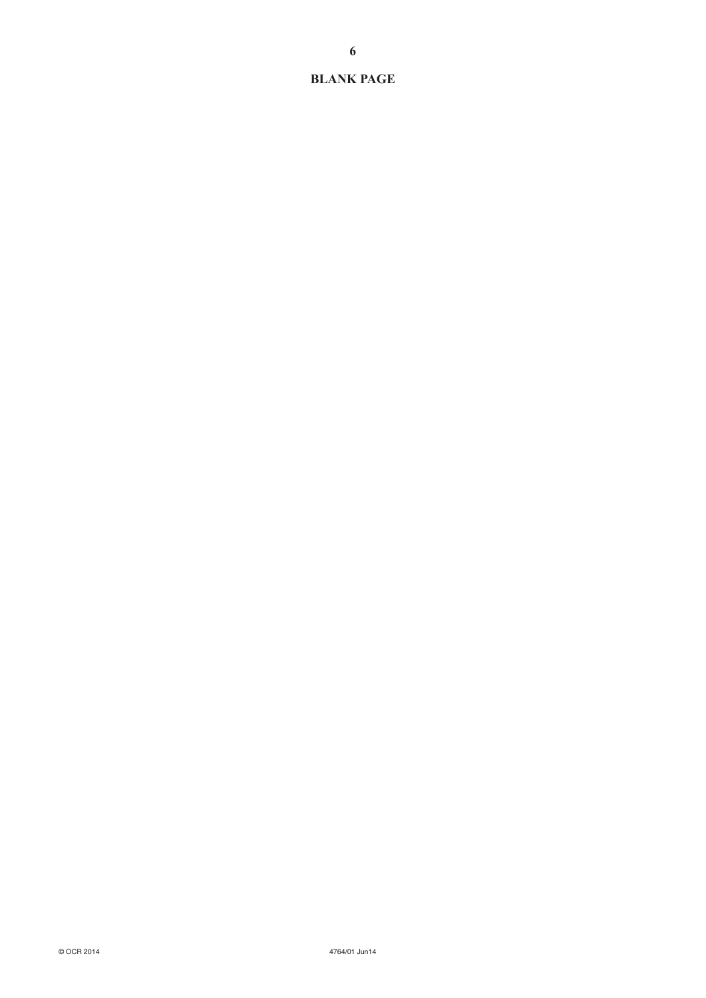### **BLANK PAGE**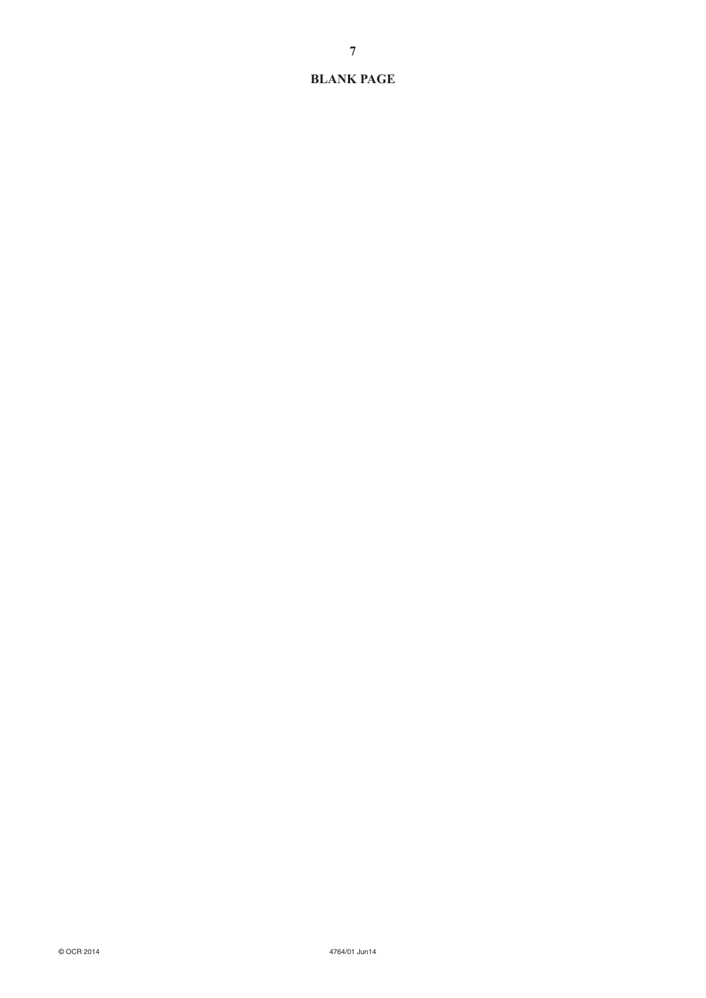### **BLANK PAGE**